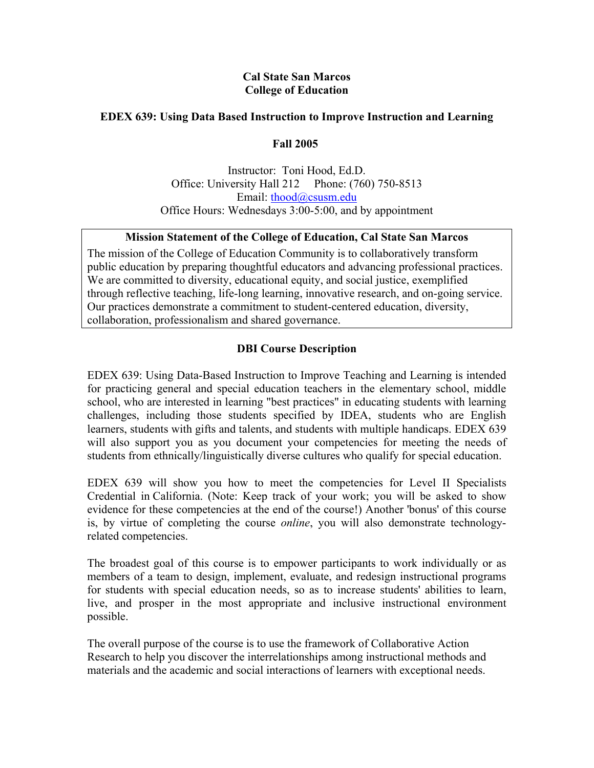#### **Cal State San Marcos College of Education**

## **EDEX 639: Using Data Based Instruction to Improve Instruction and Learning**

**Fall 2005** 

Instructor: Toni Hood, Ed.D. Office: University Hall 212 Phone: (760) 750-8513 Email: thood@csusm.edu Office Hours: Wednesdays 3:00-5:00, and by appointment

#### **Mission Statement of the College of Education, Cal State San Marcos**

The mission of the College of Education Community is to collaboratively transform public education by preparing thoughtful educators and advancing professional practices. We are committed to diversity, educational equity, and social justice, exemplified through reflective teaching, life-long learning, innovative research, and on-going service. Our practices demonstrate a commitment to student-centered education, diversity, collaboration, professionalism and shared governance.

## **DBI Course Description**

EDEX 639: Using Data-Based Instruction to Improve Teaching and Learning is intended for practicing general and special education teachers in the elementary school, middle school, who are interested in learning "best practices" in educating students with learning challenges, including those students specified by IDEA, students who are English learners, students with gifts and talents, and students with multiple handicaps. EDEX 639 will also support you as you document your competencies for meeting the needs of students from ethnically/linguistically diverse cultures who qualify for special education.

EDEX 639 will show you how to meet the competencies for Level II Specialists Credential in California. (Note: Keep track of your work; you will be asked to show evidence for these competencies at the end of the course!) Another 'bonus' of this course is, by virtue of completing the course *online*, you will also demonstrate technologyrelated competencies.

The broadest goal of this course is to empower participants to work individually or as members of a team to design, implement, evaluate, and redesign instructional programs for students with special education needs, so as to increase students' abilities to learn, live, and prosper in the most appropriate and inclusive instructional environment possible.

The overall purpose of the course is to use the framework of Collaborative Action Research to help you discover the interrelationships among instructional methods and materials and the academic and social interactions of learners with exceptional needs.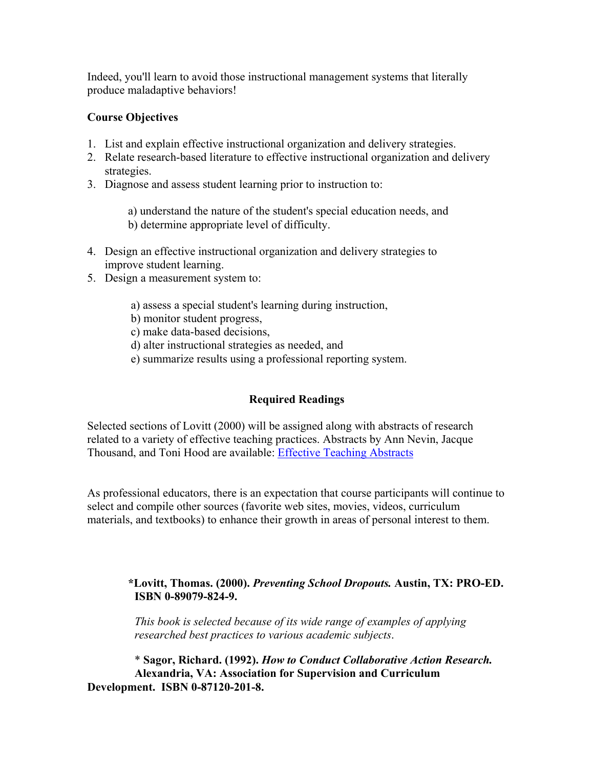Indeed, you'll learn to avoid those instructional management systems that literally produce maladaptive behaviors!

## **Course Objectives**

- 1. List and explain effective instructional organization and delivery strategies.
- 2. Relate research-based literature to effective instructional organization and delivery strategies.
- 3. Diagnose and assess student learning prior to instruction to:

 a) understand the nature of the student's special education needs, and b) determine appropriate level of difficulty.

- 4. Design an effective instructional organization and delivery strategies to improve student learning.
- 5. Design a measurement system to:
	- a) assess a special student's learning during instruction,
	- b) monitor student progress,
	- c) make data-based decisions,
	- d) alter instructional strategies as needed, and
	- e) summarize results using a professional reporting system.

## **Required Readings**

Selected sections of Lovitt (2000) will be assigned along with abstracts of research related to a variety of effective teaching practices. Abstracts by Ann Nevin, Jacque Thousand, and Toni Hood are available: Effective Teaching Abstracts

As professional educators, there is an expectation that course participants will continue to select and compile other sources (favorite web sites, movies, videos, curriculum materials, and textbooks) to enhance their growth in areas of personal interest to them.

## **\*Lovitt, Thomas. (2000).** *Preventing School Dropouts.* **Austin, TX: PRO-ED. ISBN 0-89079-824-9.**

*This book is selected because of its wide range of examples of applying researched best practices to various academic subjects*.

\* **Sagor, Richard. (1992).** *How to Conduct Collaborative Action Research.* **Alexandria, VA: Association for Supervision and Curriculum Development. ISBN 0-87120-201-8.**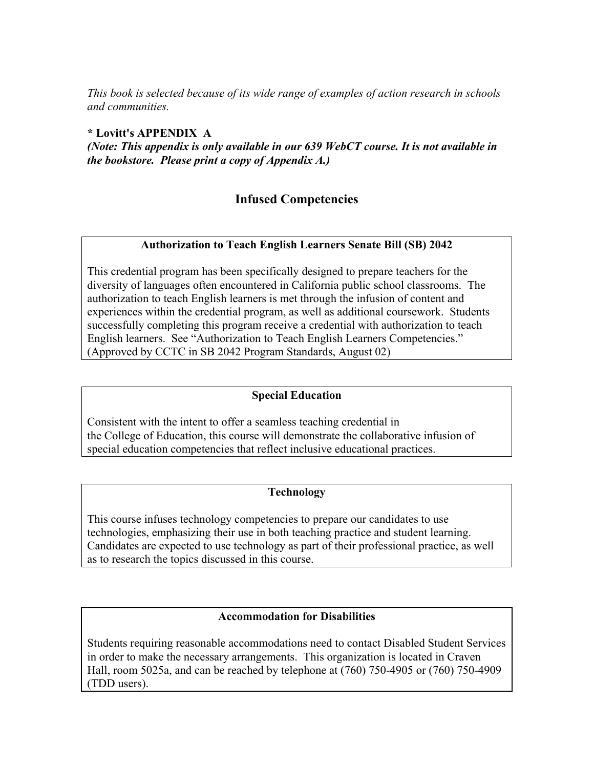*This book is selected because of its wide range of examples of action research in schools and communities.* 

## **\* Lovitt's APPENDIX A**

*(Note: This appendix is only available in our 639 WebCT course. It is not available in the bookstore. Please print a copy of Appendix A.)*

## **Infused Competencies**

## **Authorization to Teach English Learners Senate Bill (SB) 2042**

This credential program has been specifically designed to prepare teachers for the diversity of languages often encountered in California public school classrooms. The authorization to teach English learners is met through the infusion of content and experiences within the credential program, as well as additional coursework. Students successfully completing this program receive a credential with authorization to teach English learners. See "Authorization to Teach English Learners Competencies." (Approved by CCTC in SB 2042 Program Standards, August 02)

#### **Special Education**

Consistent with the intent to offer a seamless teaching credential in the College of Education, this course will demonstrate the collaborative infusion of special education competencies that reflect inclusive educational practices.

#### **Technology**

This course infuses technology competencies to prepare our candidates to use technologies, emphasizing their use in both teaching practice and student learning. Candidates are expected to use technology as part of their professional practice, as well as to research the topics discussed in this course.

## **Accommodation for Disabilities**

Students requiring reasonable accommodations need to contact Disabled Student Services in order to make the necessary arrangements. This organization is located in Craven Hall, room 5025a, and can be reached by telephone at (760) 750-4905 or (760) 750-4909 (TDD users).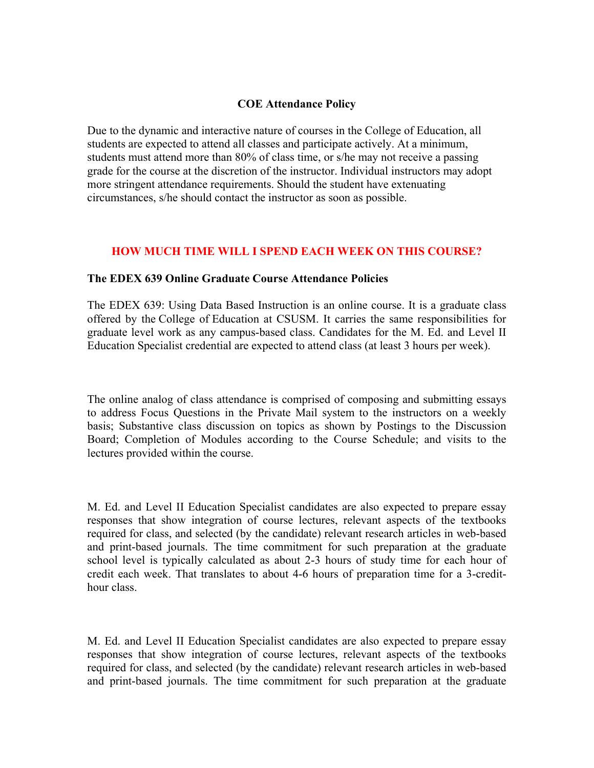#### **COE Attendance Policy**

Due to the dynamic and interactive nature of courses in the College of Education, all students are expected to attend all classes and participate actively. At a minimum, students must attend more than 80% of class time, or s/he may not receive a passing grade for the course at the discretion of the instructor. Individual instructors may adopt more stringent attendance requirements. Should the student have extenuating circumstances, s/he should contact the instructor as soon as possible.

## **HOW MUCH TIME WILL I SPEND EACH WEEK ON THIS COURSE?**

#### **The EDEX 639 Online Graduate Course Attendance Policies**

The EDEX 639: Using Data Based Instruction is an online course. It is a graduate class offered by the College of Education at CSUSM. It carries the same responsibilities for graduate level work as any campus-based class. Candidates for the M. Ed. and Level II Education Specialist credential are expected to attend class (at least 3 hours per week).

The online analog of class attendance is comprised of composing and submitting essays to address Focus Questions in the Private Mail system to the instructors on a weekly basis; Substantive class discussion on topics as shown by Postings to the Discussion Board; Completion of Modules according to the Course Schedule; and visits to the lectures provided within the course.

M. Ed. and Level II Education Specialist candidates are also expected to prepare essay responses that show integration of course lectures, relevant aspects of the textbooks required for class, and selected (by the candidate) relevant research articles in web-based and print-based journals. The time commitment for such preparation at the graduate school level is typically calculated as about 2-3 hours of study time for each hour of credit each week. That translates to about 4-6 hours of preparation time for a 3-credithour class.

M. Ed. and Level II Education Specialist candidates are also expected to prepare essay responses that show integration of course lectures, relevant aspects of the textbooks required for class, and selected (by the candidate) relevant research articles in web-based and print-based journals. The time commitment for such preparation at the graduate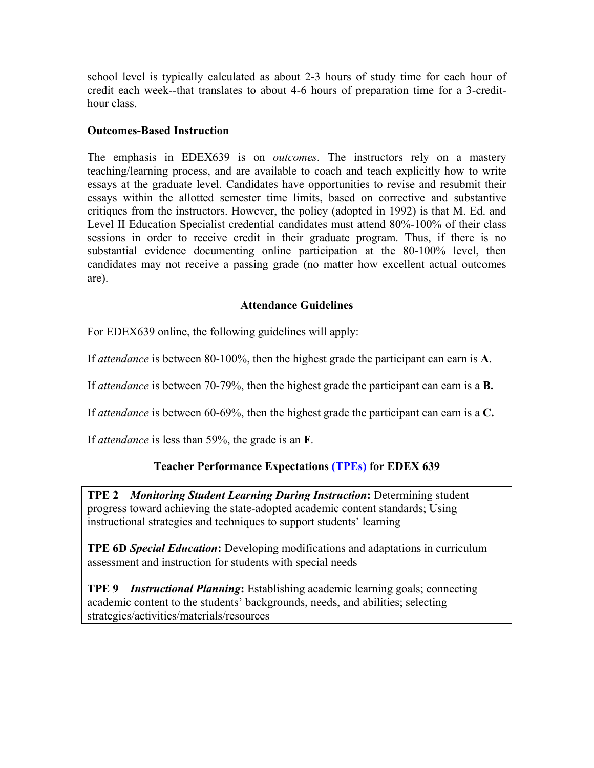school level is typically calculated as about 2-3 hours of study time for each hour of credit each week--that translates to about 4-6 hours of preparation time for a 3-credithour class.

## **Outcomes-Based Instruction**

The emphasis in EDEX639 is on *outcomes*. The instructors rely on a mastery teaching/learning process, and are available to coach and teach explicitly how to write essays at the graduate level. Candidates have opportunities to revise and resubmit their essays within the allotted semester time limits, based on corrective and substantive critiques from the instructors. However, the policy (adopted in 1992) is that M. Ed. and Level II Education Specialist credential candidates must attend 80%-100% of their class sessions in order to receive credit in their graduate program. Thus, if there is no substantial evidence documenting online participation at the 80-100% level, then candidates may not receive a passing grade (no matter how excellent actual outcomes are).

#### **Attendance Guidelines**

For EDEX639 online, the following guidelines will apply:

If *attendance* is between 80-100%, then the highest grade the participant can earn is **A**.

If *attendance* is between 70-79%, then the highest grade the participant can earn is a **B.**

If *attendance* is between 60-69%, then the highest grade the participant can earn is a **C.**

If *attendance* is less than 59%, the grade is an **F**.

## **Teacher Performance Expectations (TPEs) for EDEX 639**

**TPE 2** *Monitoring Student Learning During Instruction***:** Determining student progress toward achieving the state-adopted academic content standards; Using instructional strategies and techniques to support students' learning

**TPE 6D** *Special Education***:** Developing modifications and adaptations in curriculum assessment and instruction for students with special needs

**TPE 9** *Instructional Planning***:** Establishing academic learning goals; connecting academic content to the students' backgrounds, needs, and abilities; selecting strategies/activities/materials/resources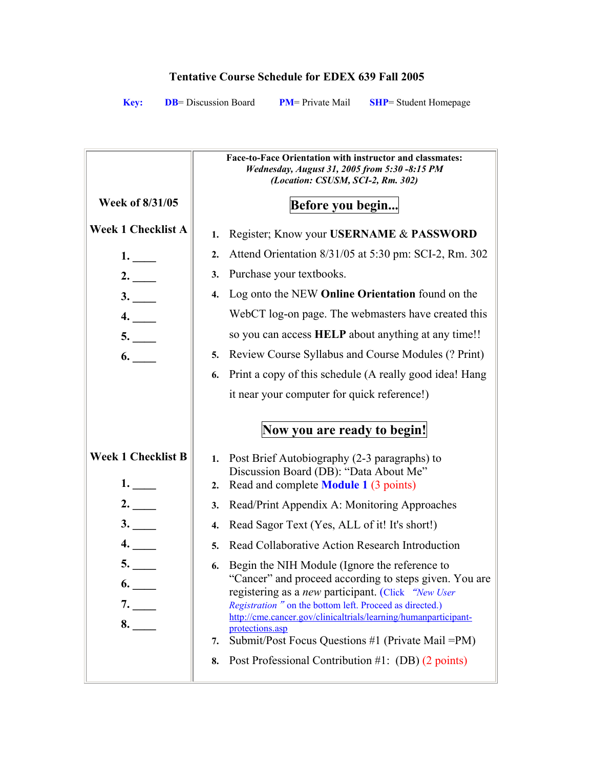# **Tentative Course Schedule for EDEX 639 Fall 2005**

**Key: DB**= Discussion Board **PM**= Private Mail **SHP**= Student Homepage

|                                 | Face-to-Face Orientation with instructor and classmates:<br>Wednesday, August 31, 2005 from 5:30 -8:15 PM<br>(Location: CSUSM, SCI-2, Rm. 302)                                                                                                                                                                                                                                   |
|---------------------------------|----------------------------------------------------------------------------------------------------------------------------------------------------------------------------------------------------------------------------------------------------------------------------------------------------------------------------------------------------------------------------------|
| Week of 8/31/05                 | Before you begin                                                                                                                                                                                                                                                                                                                                                                 |
| <b>Week 1 Checklist A</b>       | Register; Know your USERNAME & PASSWORD<br>1.                                                                                                                                                                                                                                                                                                                                    |
| 1.                              | Attend Orientation 8/31/05 at 5:30 pm: SCI-2, Rm. 302<br>2.                                                                                                                                                                                                                                                                                                                      |
| 2.                              | Purchase your textbooks.<br>3.                                                                                                                                                                                                                                                                                                                                                   |
| 3.                              | Log onto the NEW Online Orientation found on the<br>4.                                                                                                                                                                                                                                                                                                                           |
| 4.                              | WebCT log-on page. The webmasters have created this                                                                                                                                                                                                                                                                                                                              |
| 5.                              | so you can access <b>HELP</b> about anything at any time!!                                                                                                                                                                                                                                                                                                                       |
| 6.                              | Review Course Syllabus and Course Modules (? Print)<br>5.                                                                                                                                                                                                                                                                                                                        |
|                                 | Print a copy of this schedule (A really good idea! Hang<br>6.                                                                                                                                                                                                                                                                                                                    |
|                                 | it near your computer for quick reference!)                                                                                                                                                                                                                                                                                                                                      |
|                                 | Now you are ready to begin!                                                                                                                                                                                                                                                                                                                                                      |
| <b>Week 1 Checklist B</b><br>1. | Post Brief Autobiography (2-3 paragraphs) to<br>1.<br>Discussion Board (DB): "Data About Me"<br>Read and complete <b>Module 1</b> (3 points)<br>$\overline{2}$ .                                                                                                                                                                                                                 |
| 2.                              | Read/Print Appendix A: Monitoring Approaches<br>3.                                                                                                                                                                                                                                                                                                                               |
| 3.                              | Read Sagor Text (Yes, ALL of it! It's short!)<br>4.                                                                                                                                                                                                                                                                                                                              |
| 4.                              | Read Collaborative Action Research Introduction<br>5.                                                                                                                                                                                                                                                                                                                            |
| 5.<br>6.<br>7.<br>8.            | Begin the NIH Module (Ignore the reference to<br>6.<br>"Cancer" and proceed according to steps given. You are<br>registering as a new participant. (Click "New User<br>Registration" on the bottom left. Proceed as directed.)<br>http://cme.cancer.gov/clinicaltrials/learning/humanparticipant-<br>protections.asp<br>Submit/Post Focus Questions #1 (Private Mail = PM)<br>7. |
|                                 | Post Professional Contribution #1: (DB) (2 points)<br>8.                                                                                                                                                                                                                                                                                                                         |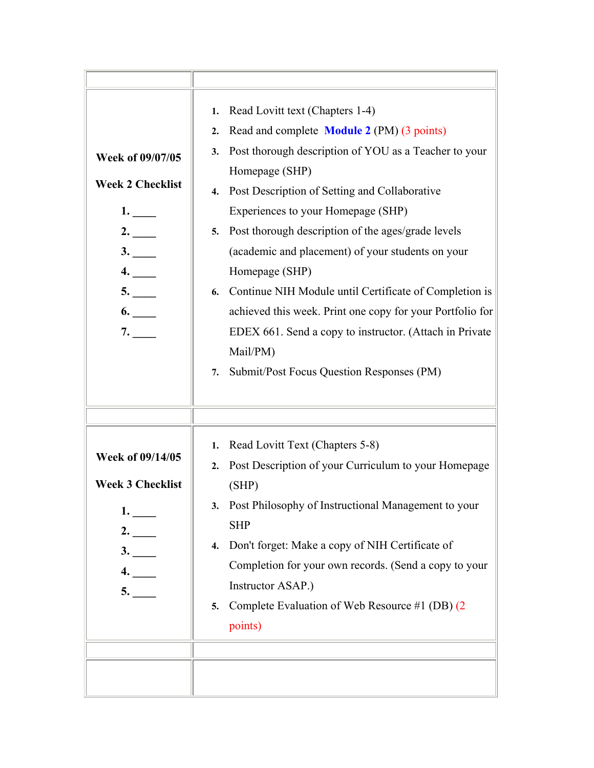| Week of 09/07/05<br><b>Week 2 Checklist</b><br>1.<br>2.<br>3.<br>4.<br>5.<br>6.<br>7. | 1. Read Lovitt text (Chapters 1-4)<br>Read and complete <b>Module 2</b> (PM) (3 points)<br>2.<br>Post thorough description of YOU as a Teacher to your<br>3.<br>Homepage (SHP)<br>Post Description of Setting and Collaborative<br>4.<br>Experiences to your Homepage (SHP)<br>Post thorough description of the ages/grade levels<br>5.<br>(academic and placement) of your students on your<br>Homepage (SHP)<br>Continue NIH Module until Certificate of Completion is<br>6.<br>achieved this week. Print one copy for your Portfolio for<br>EDEX 661. Send a copy to instructor. (Attach in Private<br>Mail/PM)<br>Submit/Post Focus Question Responses (PM)<br>7. |
|---------------------------------------------------------------------------------------|-----------------------------------------------------------------------------------------------------------------------------------------------------------------------------------------------------------------------------------------------------------------------------------------------------------------------------------------------------------------------------------------------------------------------------------------------------------------------------------------------------------------------------------------------------------------------------------------------------------------------------------------------------------------------|
| Week of 09/14/05<br><b>Week 3 Checklist</b><br>1.<br>2.<br>3.<br>4.<br>5.             | Read Lovitt Text (Chapters 5-8)<br>1.<br>Post Description of your Curriculum to your Homepage<br>2.<br>(SHP)<br>Post Philosophy of Instructional Management to your<br>3.<br><b>SHP</b><br>Don't forget: Make a copy of NIH Certificate of<br>4.<br>Completion for your own records. (Send a copy to your<br>Instructor ASAP.)<br>5. Complete Evaluation of Web Resource #1 (DB) (2<br>points)                                                                                                                                                                                                                                                                        |
|                                                                                       |                                                                                                                                                                                                                                                                                                                                                                                                                                                                                                                                                                                                                                                                       |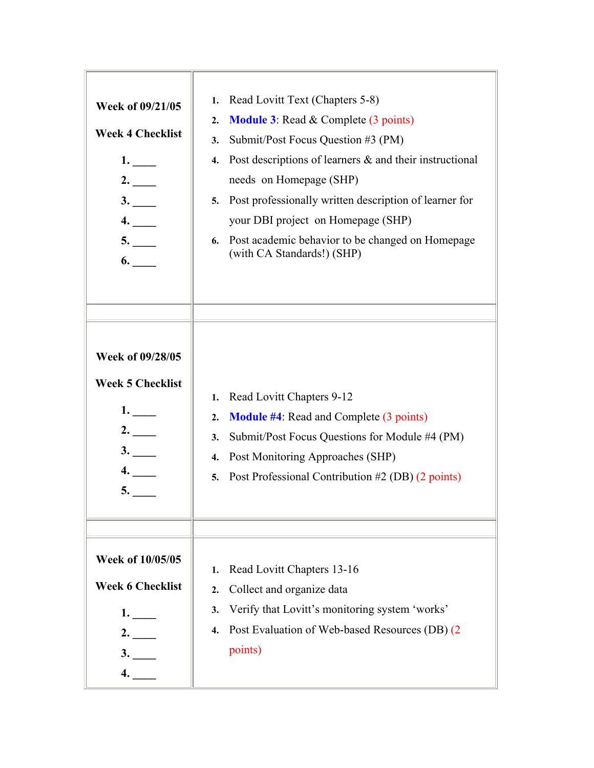| <b>Week of 09/21/05</b><br><b>Week 4 Checklist</b><br>1.<br>2.<br>3.<br>4.<br>5.<br>6.  | Read Lovitt Text (Chapters 5-8)<br>1.<br><b>Module 3:</b> Read $\&$ Complete (3 points)<br>2.<br>Submit/Post Focus Question #3 (PM)<br>3.<br>Post descriptions of learners $\&$ and their instructional<br>4.<br>needs on Homepage (SHP)<br>Post professionally written description of learner for<br>5.<br>your DBI project on Homepage (SHP)<br>6. Post academic behavior to be changed on Homepage<br>(with CA Standards!) (SHP) |
|-----------------------------------------------------------------------------------------|-------------------------------------------------------------------------------------------------------------------------------------------------------------------------------------------------------------------------------------------------------------------------------------------------------------------------------------------------------------------------------------------------------------------------------------|
| <b>Week of 09/28/05</b><br><b>Week 5 Checklist</b><br>1.<br>2.<br>3.<br>4.<br><b>5.</b> | Read Lovitt Chapters 9-12<br>1.<br><b>Module #4:</b> Read and Complete (3 points)<br>2.<br>Submit/Post Focus Questions for Module #4 (PM)<br>3.<br>Post Monitoring Approaches (SHP)<br>4.<br>Post Professional Contribution #2 (DB) (2 points)<br>5.                                                                                                                                                                                |
| Week of 10/05/05<br><b>Week 6 Checklist</b><br>1.<br>2.<br>3.<br>4.                     | Read Lovitt Chapters 13-16<br>1.<br>Collect and organize data<br>$\overline{2}$ .<br>Verify that Lovitt's monitoring system 'works'<br>3.<br>Post Evaluation of Web-based Resources (DB) (2<br>4.<br>points)                                                                                                                                                                                                                        |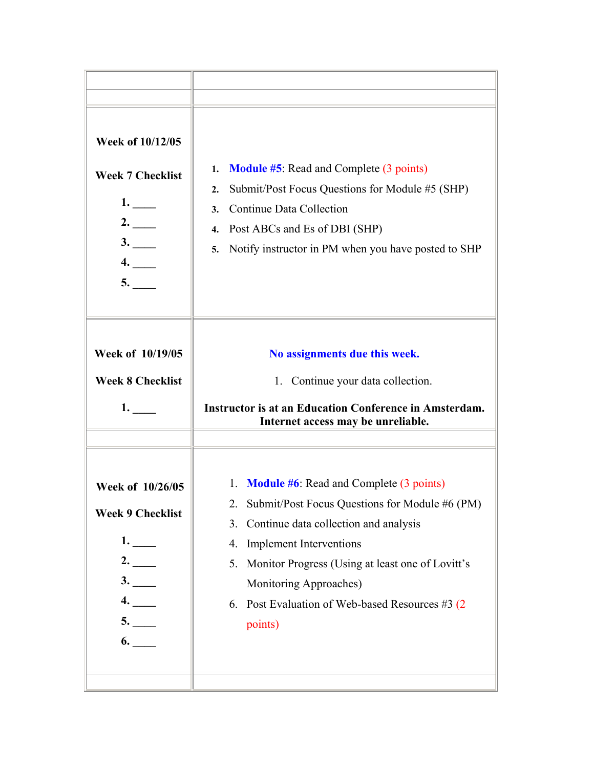| <b>Week of 10/12/05</b><br><b>Week 7 Checklist</b><br>1.<br>2.<br>3.<br>4.<br>5. | <b>Module #5:</b> Read and Complete (3 points)<br>1.<br>Submit/Post Focus Questions for Module #5 (SHP)<br>2.<br>Continue Data Collection<br>3.<br>Post ABCs and Es of DBI (SHP)<br>4.<br>Notify instructor in PM when you have posted to SHP<br>5.                                                                                                |
|----------------------------------------------------------------------------------|----------------------------------------------------------------------------------------------------------------------------------------------------------------------------------------------------------------------------------------------------------------------------------------------------------------------------------------------------|
| Week of 10/19/05<br><b>Week 8 Checklist</b><br>1.                                | No assignments due this week.<br>1. Continue your data collection.<br>Instructor is at an Education Conference in Amsterdam.<br>Internet access may be unreliable.                                                                                                                                                                                 |
| Week of 10/26/05<br><b>Week 9 Checklist</b><br>1.<br>2.<br>3.<br>4.<br>5.<br>6.  | <b>Module #6:</b> Read and Complete (3 points)<br>1.<br>Submit/Post Focus Questions for Module #6 (PM)<br>Continue data collection and analysis<br>3.<br><b>Implement Interventions</b><br>4.<br>Monitor Progress (Using at least one of Lovitt's<br>5.<br>Monitoring Approaches)<br>6. Post Evaluation of Web-based Resources #3 $(2)$<br>points) |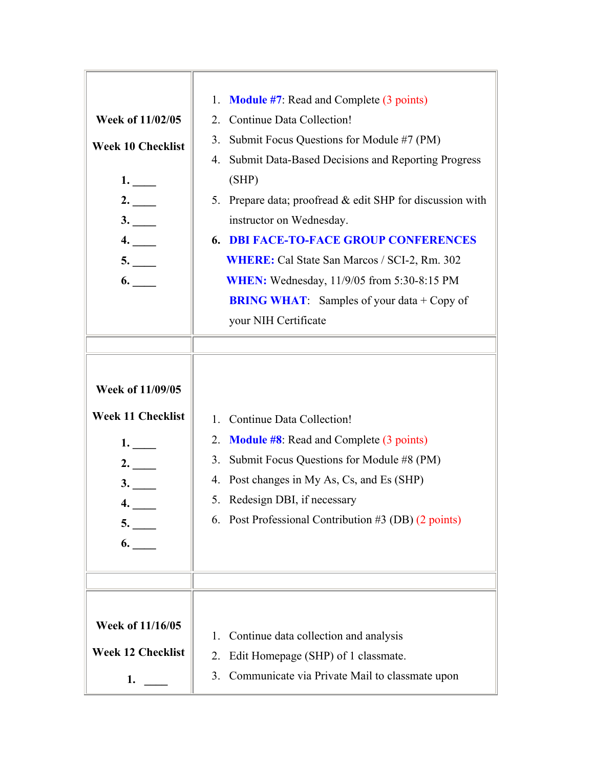| Week of 11/02/05<br><b>Week 10 Checklist</b><br>1.<br>2.<br>3.<br>4.<br>5.<br>6. | <b>Module #7:</b> Read and Complete (3 points)<br>1.<br>Continue Data Collection!<br>2.<br>Submit Focus Questions for Module #7 (PM)<br>3.<br>Submit Data-Based Decisions and Reporting Progress<br>4.<br>(SHP)<br>Prepare data; proofread & edit SHP for discussion with<br>5.<br>instructor on Wednesday.<br><b>6. DBI FACE-TO-FACE GROUP CONFERENCES</b><br><b>WHERE:</b> Cal State San Marcos / SCI-2, Rm. 302<br><b>WHEN:</b> Wednesday, 11/9/05 from 5:30-8:15 PM<br><b>BRING WHAT:</b> Samples of your data + Copy of<br>your NIH Certificate |
|----------------------------------------------------------------------------------|------------------------------------------------------------------------------------------------------------------------------------------------------------------------------------------------------------------------------------------------------------------------------------------------------------------------------------------------------------------------------------------------------------------------------------------------------------------------------------------------------------------------------------------------------|
| Week of 11/09/05<br><b>Week 11 Checklist</b><br>1.<br>2.<br>3.<br>4.<br>5.<br>6. | <b>Continue Data Collection!</b><br>1.<br><b>Module #8:</b> Read and Complete (3 points)<br>2.<br>Submit Focus Questions for Module #8 (PM)<br>3.<br>Post changes in My As, Cs, and Es (SHP)<br>4.<br>Redesign DBI, if necessary<br>5.<br>6. Post Professional Contribution #3 (DB) (2 points)                                                                                                                                                                                                                                                       |
| Week of 11/16/05<br><b>Week 12 Checklist</b><br>1.                               | Continue data collection and analysis<br>1.<br>Edit Homepage (SHP) of 1 classmate.<br>2.<br>Communicate via Private Mail to classmate upon<br>3.                                                                                                                                                                                                                                                                                                                                                                                                     |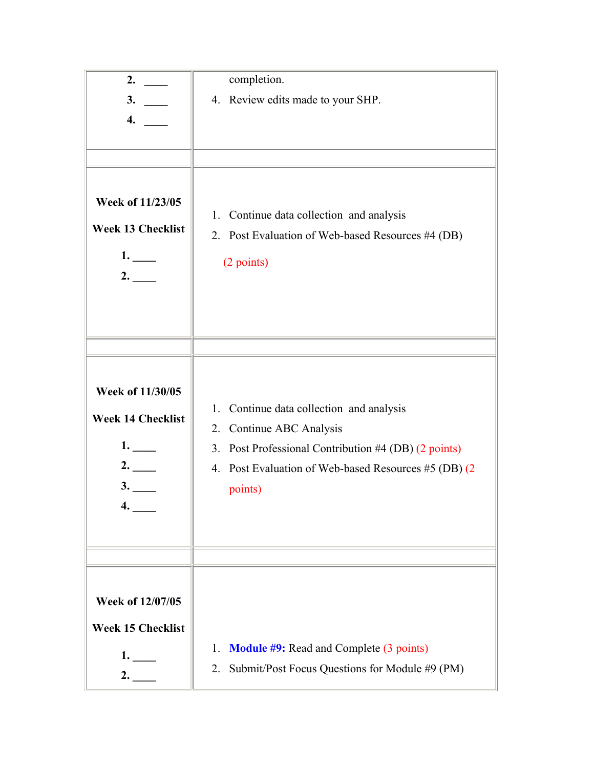| 2.                       | completion.                                          |
|--------------------------|------------------------------------------------------|
| 3.                       | 4. Review edits made to your SHP.                    |
| 4.                       |                                                      |
|                          |                                                      |
|                          |                                                      |
|                          |                                                      |
| Week of 11/23/05         |                                                      |
|                          | Continue data collection and analysis<br>1.          |
| <b>Week 13 Checklist</b> | 2. Post Evaluation of Web-based Resources #4 (DB)    |
| 1.                       |                                                      |
| 2.                       | (2 points)                                           |
|                          |                                                      |
|                          |                                                      |
|                          |                                                      |
|                          |                                                      |
|                          |                                                      |
| Week of 11/30/05         |                                                      |
|                          | 1.<br>Continue data collection and analysis          |
| <b>Week 14 Checklist</b> | 2. Continue ABC Analysis                             |
| 1.                       | 3. Post Professional Contribution #4 (DB) (2 points) |
| 2.                       | 4. Post Evaluation of Web-based Resources #5 (DB) (2 |
| 3.                       |                                                      |
| 4.                       | points)                                              |
|                          |                                                      |
|                          |                                                      |
|                          |                                                      |
|                          |                                                      |
| Week of 12/07/05         |                                                      |
|                          |                                                      |
| <b>Week 15 Checklist</b> |                                                      |
| 1.                       | <b>Module #9: Read and Complete (3 points)</b><br>1. |
| 2.                       | Submit/Post Focus Questions for Module #9 (PM)<br>2. |
|                          |                                                      |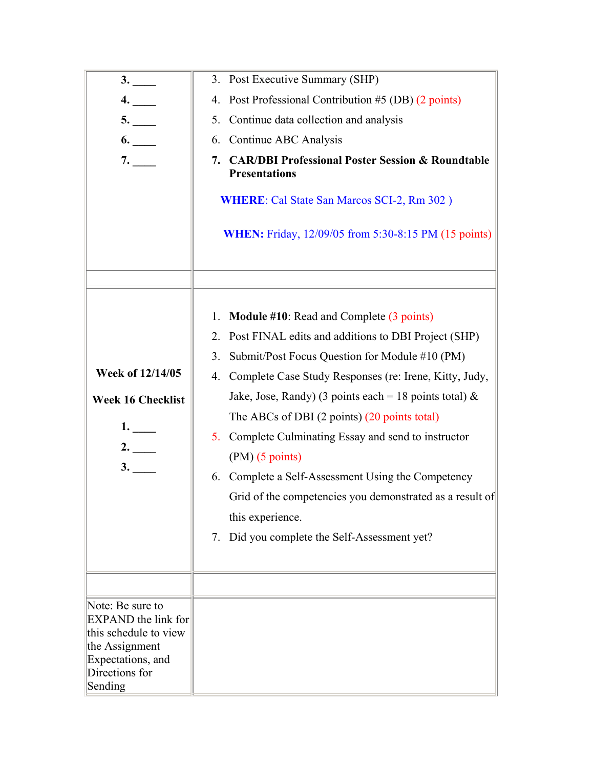| 3.                                      | 3. Post Executive Summary (SHP)                                                           |
|-----------------------------------------|-------------------------------------------------------------------------------------------|
| 4.                                      | 4. Post Professional Contribution #5 (DB) (2 points)                                      |
| 5.                                      | Continue data collection and analysis<br>5.                                               |
| 6.                                      | Continue ABC Analysis<br>6.                                                               |
| 7.                                      | <b>CAR/DBI Professional Poster Session &amp; Roundtable</b><br>7.<br><b>Presentations</b> |
|                                         | <b>WHERE:</b> Cal State San Marcos SCI-2, Rm 302)                                         |
|                                         | <b>WHEN:</b> Friday, 12/09/05 from 5:30-8:15 PM (15 points)                               |
|                                         |                                                                                           |
|                                         | Module #10: Read and Complete (3 points)<br>1.                                            |
|                                         | Post FINAL edits and additions to DBI Project (SHP)<br>2.                                 |
|                                         | Submit/Post Focus Question for Module #10 (PM)<br>3.                                      |
| Week of 12/14/05                        | Complete Case Study Responses (re: Irene, Kitty, Judy,<br>4.                              |
| <b>Week 16 Checklist</b>                | Jake, Jose, Randy) (3 points each = 18 points total) &                                    |
|                                         | The ABCs of DBI $(2 \text{ points})$ $(20 \text{ points total})$                          |
| 1.<br>2.                                | 5. Complete Culminating Essay and send to instructor                                      |
|                                         | $(PM)$ (5 points)                                                                         |
| 3.                                      | 6. Complete a Self-Assessment Using the Competency                                        |
|                                         | Grid of the competencies you demonstrated as a result of                                  |
|                                         | this experience.                                                                          |
|                                         | Did you complete the Self-Assessment yet?<br>7.                                           |
|                                         |                                                                                           |
| Note: Be sure to                        |                                                                                           |
| <b>EXPAND</b> the link for              |                                                                                           |
| this schedule to view<br>the Assignment |                                                                                           |
| Expectations, and                       |                                                                                           |
| Directions for<br>Sending               |                                                                                           |
|                                         |                                                                                           |